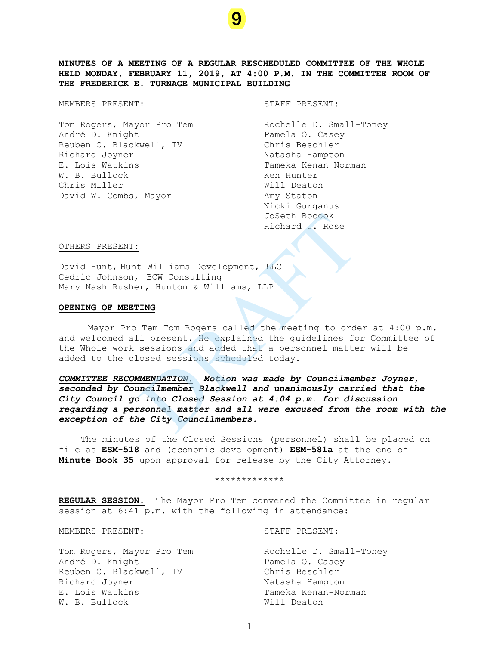**MINUTES OF A MEETING OF A REGULAR RESCHEDULED COMMITTEE OF THE WHOLE HELD MONDAY, FEBRUARY 11, 2019, AT 4:00 P.M. IN THE COMMITTEE ROOM OF THE FREDERICK E. TURNAGE MUNICIPAL BUILDING**

**9**

#### MEMBERS PRESENT: STAFF PRESENT:

Tom Rogers, Mayor Pro Tem Rochelle D. Small-Toney André D. Knight **Pamela O. Casey** Reuben C. Blackwell, IV Chris Beschler Richard Joyner Natasha Hampton E. Lois Watkins Tameka Kenan-Norman W. B. Bullock Ken Hunter Chris Miller Will Deaton David W. Combs, Mayor Amy Staton

Nicki Gurganus JoSeth Bocook Richard J. Rose

## OTHERS PRESENT:

David Hunt, Hunt Williams Development, LLC Cedric Johnson, BCW Consulting Mary Nash Rusher, Hunton & Williams, LLP

#### **OPENING OF MEETING**

Mayor Pro Tem Tom Rogers called the meeting to order at 4:00 p.m. and welcomed all present. He explained the guidelines for Committee of the Whole work sessions and added that a personnel matter will be added to the closed sessions scheduled today.

*COMMITTEE RECOMMENDATION. Motion was made by Councilmember Joyner, seconded by Councilmember Blackwell and unanimously carried that the City Council go into Closed Session at 4:04 p.m. for discussion regarding a personnel matter and all were excused from the room with the exception of the City Councilmembers.* Joseth Bocook<br>Richard J. Rose<br>Nichard J. Rose<br>New Consulting<br>Tr. Hunton & Williams, LLP<br>NEW Consulting<br>Tem Tom Rogers called the meeting to orde<br>DRAFTOM. He explained that a personnel matter<br>osed sessions scheduled today.<br>

The minutes of the Closed Sessions (personnel) shall be placed on file as **ESM-518** and (economic development) **ESM-581a** at the end of **Minute Book 35** upon approval for release by the City Attorney.

#### \*\*\*\*\*\*\*\*\*\*\*\*\*

**REGULAR SESSION.** The Mayor Pro Tem convened the Committee in regular session at 6:41 p.m. with the following in attendance:

# MEMBERS PRESENT: STAFF PRESENT:

Tom Rogers, Mayor Pro Tem Rochelle D. Small-Toney André D. Knight Pamela O. Casey Reuben C. Blackwell, IV Chris Beschler Richard Joyner Natasha Hampton E. Lois Watkins Tameka Kenan-Norman W. B. Bullock Will Deaton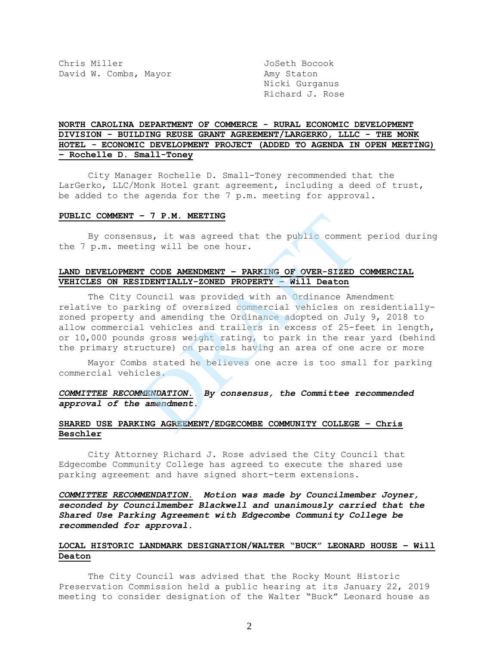Chris Miller JoSeth Bocook David W. Combs, Mayor Amy Staton

Nicki Gurganus Richard J. Rose

# **NORTH CAROLINA DEPARTMENT OF COMMERCE - RURAL ECONOMIC DEVELOPMENT DIVISION - BUILDING REUSE GRANT AGREEMENT/LARGERKO, LLLC - THE MONK HOTEL** *-* **ECONOMIC DEVELOPMENT PROJECT (ADDED TO AGENDA IN OPEN MEETING) – Rochelle D. Small-Toney**

City Manager Rochelle D. Small-Toney recommended that the LarGerko, LLC/Monk Hotel grant agreement, including a deed of trust, be added to the agenda for the 7 p.m. meeting for approval.

#### **PUBLIC COMMENT – 7 P.M. MEETING**

By consensus, it was agreed that the public comment period during the 7 p.m. meeting will be one hour.

# **LAND DEVELOPMENT CODE AMENDMENT – PARKING OF OVER-SIZED COMMERCIAL VEHICLES ON RESIDENTIALLY-ZONED PROPERTY – Will Deaton**

The City Council was provided with an Ordinance Amendment relative to parking of oversized commercial vehicles on residentiallyzoned property and amending the Ordinance adopted on July 9, 2018 to allow commercial vehicles and trailers in excess of 25-feet in length, or 10,000 pounds gross weight rating, to park in the rear yard (behind the primary structure) on parcels having an area of one acre or more - 7 P.M. MEETING<br>
sus, it was agreed that the public comment<br>
ing will be one hour.<br>
T CODE AMENDMENT - PARKING OF OVER-SIZED<br>
IDENTIALLY-ZONED PROPERTY - Will Deaton<br>
Council was provided with an Ordinance American<br>
strin

Mayor Combs stated he believes one acre is too small for parking commercial vehicles.

# *COMMITTEE RECOMMENDATION. By consensus, the Committee recommended approval of the amendment.*

# **SHARED USE PARKING AGREEMENT/EDGECOMBE COMMUNITY COLLEGE – Chris Beschler**

City Attorney Richard J. Rose advised the City Council that Edgecombe Community College has agreed to execute the shared use parking agreement and have signed short-term extensions.

*COMMITTEE RECOMMENDATION. Motion was made by Councilmember Joyner, seconded by Councilmember Blackwell and unanimously carried that the Shared Use Parking Agreement with Edgecombe Community College be recommended for approval.*

## **LOCAL HISTORIC LANDMARK DESIGNATION/WALTER "BUCK" LEONARD HOUSE – Will Deaton**

The City Council was advised that the Rocky Mount Historic Preservation Commission held a public hearing at its January 22, 2019 meeting to consider designation of the Walter "Buck" Leonard house as